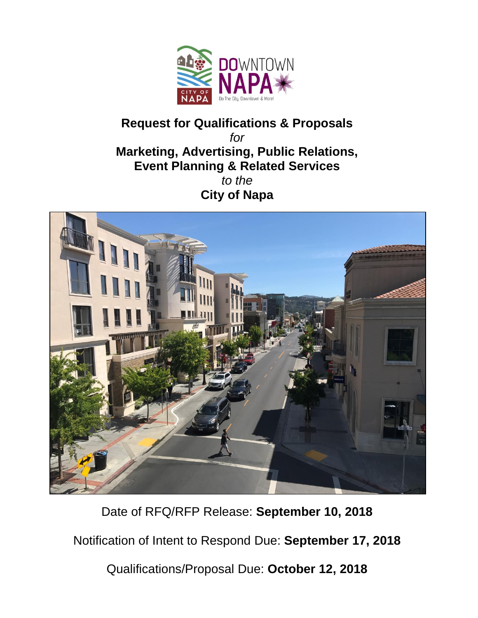

# **Request for Qualifications & Proposals** *for* **Marketing, Advertising, Public Relations, Event Planning & Related Services** *to the*  **City of Napa**



Date of RFQ/RFP Release: **September 10, 2018**

Notification of Intent to Respond Due: **September 17, 2018**

Qualifications/Proposal Due: **October 12, 2018**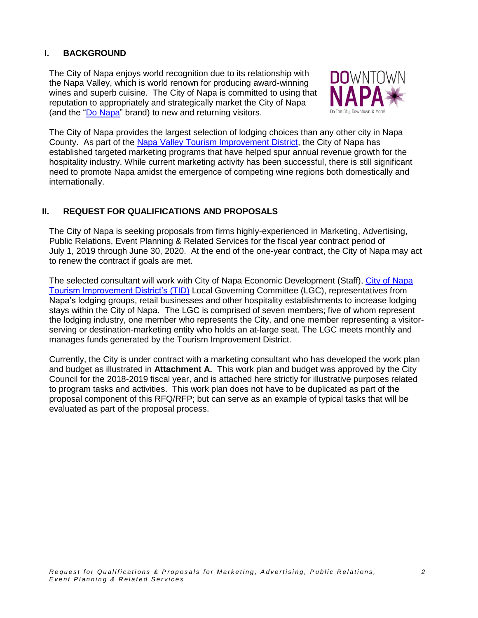# **I. BACKGROUND**

The City of Napa enjoys world recognition due to its relationship with the Napa Valley, which is world renown for producing award-winning wines and superb cuisine. The City of Napa is committed to using that reputation to appropriately and strategically market the City of Napa (and the ["Do Napa"](http://donapa.com/) brand) to new and returning visitors.



The City of Napa provides the largest selection of lodging choices than any other city in Napa County. As part of the Napa Valley [Tourism Improvement District,](https://www.countyofnapa.org/1765/Tourism-Improvement-District-Committee) the City of Napa has established targeted marketing programs that have helped spur annual revenue growth for the hospitality industry. While current marketing activity has been successful, there is still significant need to promote Napa amidst the emergence of competing wine regions both domestically and internationally.

# **II. REQUEST FOR QUALIFICATIONS AND PROPOSALS**

The City of Napa is seeking proposals from firms highly-experienced in Marketing, Advertising, Public Relations, Event Planning & Related Services for the fiscal year contract period of July 1, 2019 through June 30, 2020. At the end of the one-year contract, the City of Napa may act to renew the contract if goals are met.

The selected consultant will work with City of Napa Economic Development (Staff), [City of Napa](http://www.cityofnapa.org/746/Tourism-Improvement-District)  [Tourism Improvement District's \(TID\)](http://www.cityofnapa.org/746/Tourism-Improvement-District) Local Governing Committee (LGC), representatives from Napa's lodging groups, retail businesses and other hospitality establishments to increase lodging stays within the City of Napa. The LGC is comprised of seven members; five of whom represent the lodging industry, one member who represents the City, and one member representing a visitorserving or destination-marketing entity who holds an at-large seat. The LGC meets monthly and manages funds generated by the Tourism Improvement District.

Currently, the City is under contract with a marketing consultant who has developed the work plan and budget as illustrated in **Attachment A.** This work plan and budget was approved by the City Council for the 2018-2019 fiscal year, and is attached here strictly for illustrative purposes related to program tasks and activities. This work plan does not have to be duplicated as part of the proposal component of this RFQ/RFP; but can serve as an example of typical tasks that will be evaluated as part of the proposal process.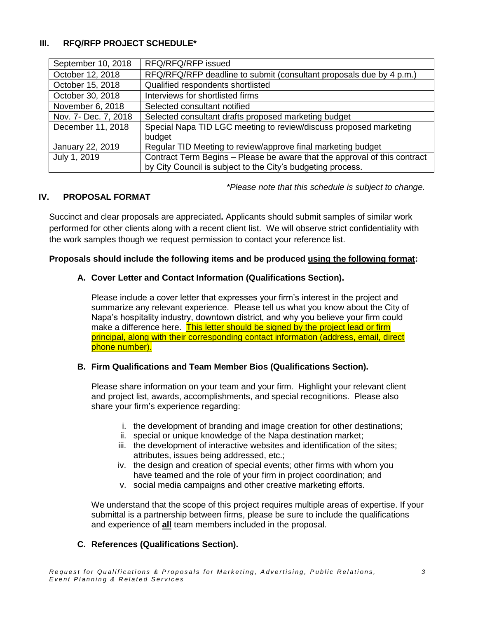# **III. RFQ/RFP PROJECT SCHEDULE\***

| September 10, 2018   | RFQ/RFQ/RFP issued                                                        |
|----------------------|---------------------------------------------------------------------------|
| October 12, 2018     | RFQ/RFQ/RFP deadline to submit (consultant proposals due by 4 p.m.)       |
| October 15, 2018     | Qualified respondents shortlisted                                         |
| October 30, 2018     | Interviews for shortlisted firms                                          |
| November 6, 2018     | Selected consultant notified                                              |
| Nov. 7- Dec. 7, 2018 | Selected consultant drafts proposed marketing budget                      |
| December 11, 2018    | Special Napa TID LGC meeting to review/discuss proposed marketing         |
|                      | budget                                                                    |
| January 22, 2019     | Regular TID Meeting to review/approve final marketing budget              |
| July 1, 2019         | Contract Term Begins - Please be aware that the approval of this contract |
|                      | by City Council is subject to the City's budgeting process.               |

*\*Please note that this schedule is subject to change.*

# **IV. PROPOSAL FORMAT**

Succinct and clear proposals are appreciated**.** Applicants should submit samples of similar work performed for other clients along with a recent client list. We will observe strict confidentiality with the work samples though we request permission to contact your reference list.

#### **Proposals should include the following items and be produced using the following format:**

## **A. Cover Letter and Contact Information (Qualifications Section).**

Please include a cover letter that expresses your firm's interest in the project and summarize any relevant experience. Please tell us what you know about the City of Napa's hospitality industry, downtown district, and why you believe your firm could make a difference here. This letter should be signed by the project lead or firm principal, along with their corresponding contact information (address, email, direct phone number).

## **B. Firm Qualifications and Team Member Bios (Qualifications Section).**

Please share information on your team and your firm. Highlight your relevant client and project list, awards, accomplishments, and special recognitions. Please also share your firm's experience regarding:

- i. the development of branding and image creation for other destinations;
- ii. special or unique knowledge of the Napa destination market;
- iii. the development of interactive websites and identification of the sites; attributes, issues being addressed, etc.;
- iv. the design and creation of special events; other firms with whom you have teamed and the role of your firm in project coordination; and
- v. social media campaigns and other creative marketing efforts.

We understand that the scope of this project requires multiple areas of expertise. If your submittal is a partnership between firms, please be sure to include the qualifications and experience of **all** team members included in the proposal.

## **C. References (Qualifications Section).**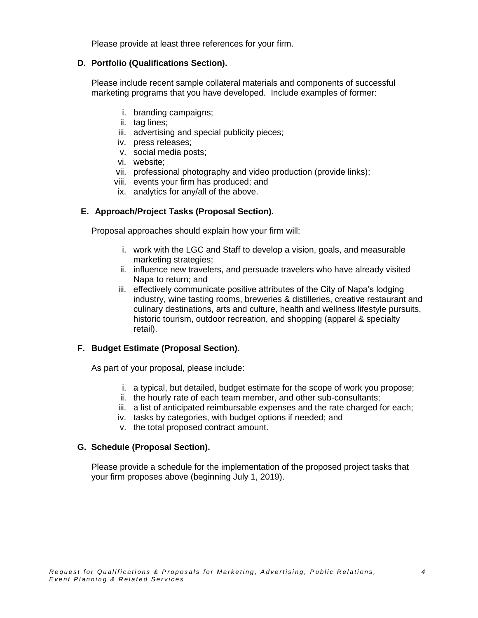Please provide at least three references for your firm.

## **D. Portfolio (Qualifications Section).**

Please include recent sample collateral materials and components of successful marketing programs that you have developed. Include examples of former:

- i. branding campaigns;
- ii. tag lines;
- iii. advertising and special publicity pieces;
- iv. press releases;
- v. social media posts;
- vi. website;
- vii. professional photography and video production (provide links);
- viii. events your firm has produced; and
- ix. analytics for any/all of the above.

# **E. Approach/Project Tasks (Proposal Section).**

Proposal approaches should explain how your firm will:

- i. work with the LGC and Staff to develop a vision, goals, and measurable marketing strategies;
- ii. influence new travelers, and persuade travelers who have already visited Napa to return; and
- iii. effectively communicate positive attributes of the City of Napa's lodging industry, wine tasting rooms, breweries & distilleries, creative restaurant and culinary destinations, arts and culture, health and wellness lifestyle pursuits, historic tourism, outdoor recreation, and shopping (apparel & specialty retail).

# **F. Budget Estimate (Proposal Section).**

As part of your proposal, please include:

- i. a typical, but detailed, budget estimate for the scope of work you propose;
- ii. the hourly rate of each team member, and other sub-consultants;
- iii. a list of anticipated reimbursable expenses and the rate charged for each;
- iv. tasks by categories, with budget options if needed; and
- v. the total proposed contract amount.

## **G. Schedule (Proposal Section).**

Please provide a schedule for the implementation of the proposed project tasks that your firm proposes above (beginning July 1, 2019).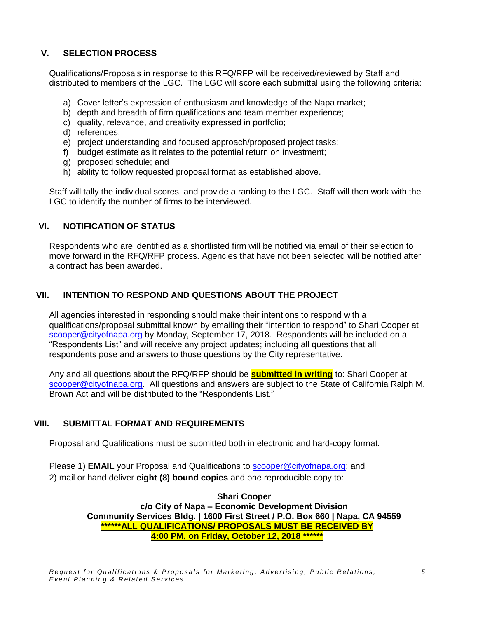# **V. SELECTION PROCESS**

Qualifications/Proposals in response to this RFQ/RFP will be received/reviewed by Staff and distributed to members of the LGC. The LGC will score each submittal using the following criteria:

- a) Cover letter's expression of enthusiasm and knowledge of the Napa market;
- b) depth and breadth of firm qualifications and team member experience;
- c) quality, relevance, and creativity expressed in portfolio;
- d) references;
- e) project understanding and focused approach/proposed project tasks;
- f) budget estimate as it relates to the potential return on investment;
- g) proposed schedule; and
- h) ability to follow requested proposal format as established above.

Staff will tally the individual scores, and provide a ranking to the LGC. Staff will then work with the LGC to identify the number of firms to be interviewed.

## **VI. NOTIFICATION OF STATUS**

Respondents who are identified as a shortlisted firm will be notified via email of their selection to move forward in the RFQ/RFP process. Agencies that have not been selected will be notified after a contract has been awarded.

# **VII. INTENTION TO RESPOND AND QUESTIONS ABOUT THE PROJECT**

All agencies interested in responding should make their intentions to respond with a qualifications/proposal submittal known by emailing their "intention to respond" to Shari Cooper at [scooper@cityofnapa.org](mailto:scooper@cityofnapa.org) by Monday, September 17, 2018. Respondents will be included on a "Respondents List" and will receive any project updates; including all questions that all respondents pose and answers to those questions by the City representative.

Any and all questions about the RFQ/RFP should be **submitted in writing** to: Shari Cooper at [scooper@cityofnapa.org.](mailto:scooper@cityofnapa.org) All questions and answers are subject to the State of California Ralph M. Brown Act and will be distributed to the "Respondents List."

## **VIII. SUBMITTAL FORMAT AND REQUIREMENTS**

Proposal and Qualifications must be submitted both in electronic and hard-copy format.

Please 1) **EMAIL** your Proposal and Qualifications to [scooper@cityofnapa.org;](mailto:scooper@cityofnapa.org) and 2) mail or hand deliver **eight (8) bound copies** and one reproducible copy to:

> **Shari Cooper c/o City of Napa – Economic Development Division Community Services Bldg. | 1600 First Street / P.O. Box 660 | Napa, CA 94559 \*\*\*\*\*\*ALL QUALIFICATIONS/ PROPOSALS MUST BE RECEIVED BY 4:00 PM, on Friday, October 12, 2018 \*\*\*\*\*\***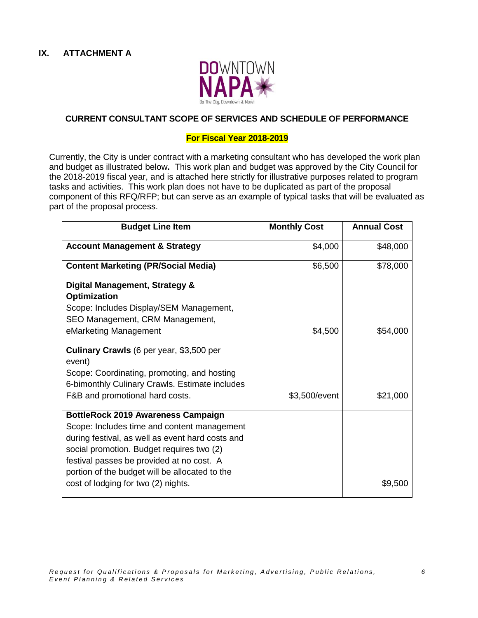

## **CURRENT CONSULTANT SCOPE OF SERVICES AND SCHEDULE OF PERFORMANCE**

#### **For Fiscal Year 2018-2019**

Currently, the City is under contract with a marketing consultant who has developed the work plan and budget as illustrated below**.** This work plan and budget was approved by the City Council for the 2018-2019 fiscal year, and is attached here strictly for illustrative purposes related to program tasks and activities. This work plan does not have to be duplicated as part of the proposal component of this RFQ/RFP; but can serve as an example of typical tasks that will be evaluated as part of the proposal process.

| <b>Budget Line Item</b>                                                                                                                                                                                                                                                                                                         | <b>Monthly Cost</b> | <b>Annual Cost</b> |
|---------------------------------------------------------------------------------------------------------------------------------------------------------------------------------------------------------------------------------------------------------------------------------------------------------------------------------|---------------------|--------------------|
| <b>Account Management &amp; Strategy</b>                                                                                                                                                                                                                                                                                        | \$4,000             | \$48,000           |
| <b>Content Marketing (PR/Social Media)</b>                                                                                                                                                                                                                                                                                      | \$6,500             | \$78,000           |
| Digital Management, Strategy &<br><b>Optimization</b><br>Scope: Includes Display/SEM Management,<br>SEO Management, CRM Management,                                                                                                                                                                                             |                     |                    |
| eMarketing Management                                                                                                                                                                                                                                                                                                           | \$4,500             | \$54,000           |
| <b>Culinary Crawls</b> (6 per year, \$3,500 per<br>event)<br>Scope: Coordinating, promoting, and hosting<br>6-bimonthly Culinary Crawls. Estimate includes<br>F&B and promotional hard costs.                                                                                                                                   | \$3,500/event       | \$21,000           |
| <b>BottleRock 2019 Awareness Campaign</b><br>Scope: Includes time and content management<br>during festival, as well as event hard costs and<br>social promotion. Budget requires two (2)<br>festival passes be provided at no cost. A<br>portion of the budget will be allocated to the<br>cost of lodging for two (2) nights. |                     | \$9,500            |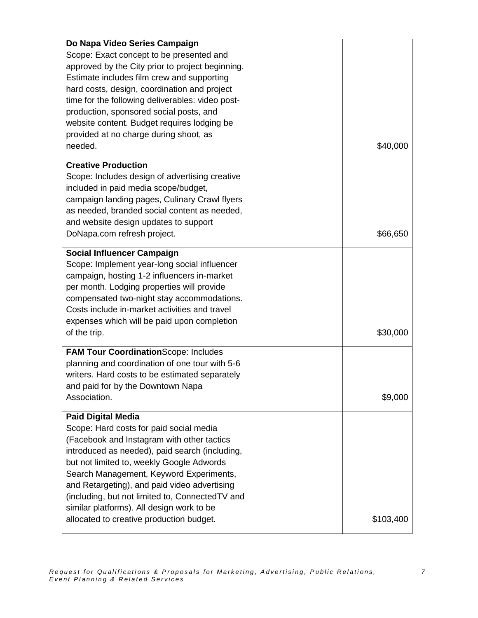| Do Napa Video Series Campaign<br>Scope: Exact concept to be presented and<br>approved by the City prior to project beginning.<br>Estimate includes film crew and supporting<br>hard costs, design, coordination and project<br>time for the following deliverables: video post-<br>production, sponsored social posts, and<br>website content. Budget requires lodging be<br>provided at no charge during shoot, as<br>needed.                           | \$40,000  |
|----------------------------------------------------------------------------------------------------------------------------------------------------------------------------------------------------------------------------------------------------------------------------------------------------------------------------------------------------------------------------------------------------------------------------------------------------------|-----------|
| <b>Creative Production</b><br>Scope: Includes design of advertising creative<br>included in paid media scope/budget,<br>campaign landing pages, Culinary Crawl flyers<br>as needed, branded social content as needed,<br>and website design updates to support<br>DoNapa.com refresh project.                                                                                                                                                            | \$66,650  |
| <b>Social Influencer Campaign</b><br>Scope: Implement year-long social influencer<br>campaign, hosting 1-2 influencers in-market<br>per month. Lodging properties will provide<br>compensated two-night stay accommodations.<br>Costs include in-market activities and travel<br>expenses which will be paid upon completion<br>of the trip.                                                                                                             | \$30,000  |
| <b>FAM Tour Coordination</b> Scope: Includes<br>planning and coordination of one tour with 5-6<br>writers. Hard costs to be estimated separately<br>and paid for by the Downtown Napa<br>Association.                                                                                                                                                                                                                                                    | \$9,000   |
| <b>Paid Digital Media</b><br>Scope: Hard costs for paid social media<br>(Facebook and Instagram with other tactics<br>introduced as needed), paid search (including,<br>but not limited to, weekly Google Adwords<br>Search Management, Keyword Experiments,<br>and Retargeting), and paid video advertising<br>(including, but not limited to, ConnectedTV and<br>similar platforms). All design work to be<br>allocated to creative production budget. | \$103,400 |